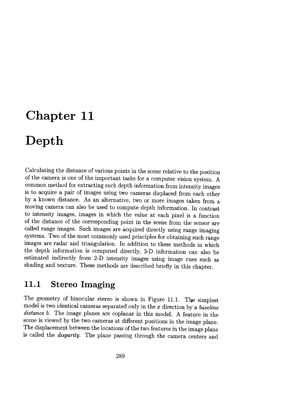# **Chapter 11**

# **Depth**

Calculating the distance of various points in the scene relative to the position of the camera is one of the important tasks for a computer vision system. A common method for extracting such depth information from intensity images is to acquire a pair of images using two cameras displaced from each other by a known distance. As an alternative, two or more images taken from a moving camera can also be used to compute depth information. In contrast to intensity images, images in which the value at each pixel is a function of the distance of the corresponding point in the scene from the sensor are called range images. Such images are acquired directly using range imaging systems. Two of the most commonly used principles for obtaining such range images are radar and triangulation. In addition to these methods in which the depth information is computed directly, 3-D information can also be estimated indirectly from 2-D intensity images using image cues such as shading and texture. These methods are described briefly in this chapter.

### **11.1 Stereo Imaging**

The geometry of binocular stereo is shown in Figure 11.1. The simplest model is two identical cameras separated only in the *x* direction by a *baseline distance b.* The image planes are coplanar in this model. A feature in the scene is viewed by the two cameras at different positions in the image plane. The displacement between the locations of the two features in the image plane is called the *disparity.* The plane passing through the camera centers and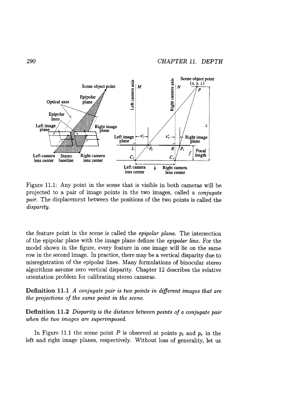

Figure 11.1: Any point in the scene that is visible in both cameras will be projected to a pair of image points in the two images, called a *conjugate pair.* The displacement between the positions of the two points is called the *disparity.*

the feature point in the scene is called the *epipolar plane.* The intersection of the epipolar plane with the image plane defines the *epipolar line.* For the model shown in the figure, every feature in one image will lie on the same row in the second image. In practice, there may be a vertical disparity due to misregistration of the epipolar lines. Many formulations of binocular stereo algorithms assume zero vertical disparity. Chapter 12 describes the relative orientation problem for calibrating stereo cameras.

**Definition 11.1** *A conjugate pair is two points in different images that are the projections of the same point in the scene.*

**Definition 11.2** *Disparity is the distance between points of a conjugate pair when the two images are superimposed.*

In Figure 11.1 the scene point P is observed at points  $p_l$  and  $p_r$  in the left and right image planes, respectively. Without loss of generality, let us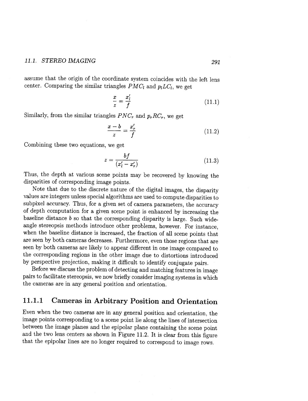#### *11.1. STEREO IMAGING* 291

assume that the origin of the coordinate system coincides with the left lens center. Comparing the similar triangles  $PMC_l$  and  $p_l LC_l$ , we get

$$
\frac{x}{z} = \frac{x'_l}{f} \tag{11.1}
$$

Similarly, from the similar triangles  $PNC_r$  and  $p_rRC_r$ , we get

$$
\frac{x-b}{z} = \frac{x'_r}{f} \tag{11.2}
$$

Combining these two equations, we get

$$
z = \frac{bf}{(x'_l - x'_r)}\tag{11.3}
$$

Thus, the depth at various scene points may be recovered by knowing the disparities of corresponding image points.

Note that due to the discrete nature of the digital images, the disparity values are integers unless special algorithms are used to compute disparities to subpixel accuracy. Thus, for a given set of camera parameters, the accuracy of depth computation for a given scene point is enhanced by increasing the baseline distance *b* so that the corresponding disparity is large. Such wideangle stereopsis methods introduce other problems, however. For instance, when the baseline distance is increased, the fraction of all scene points that are seen by both cameras decreases. Furthermore, even those regions that are seen by both cameras are likely to appear different in one image compared to the corresponding regions in the other image due to distortions introduced by perspective projection, making it difficult to identify conjugate pairs.

Before we discuss the problem of detecting and matching features in image pairs to facilitate stereopsis, we now briefly consider imaging systems in which the cameras are in any general position and orientation.

### **11.1.1 Cameras in Arbitrary Position and Orientation**

Even when the two cameras are in any general position and orientation, the image points corresponding to a scene point lie along the lines of intersection between the image planes and the epipolar plane containing the scene point and the two lens centers as shown in Figure 11.2. It is clear from this figure that the epipolar lines are no longer required to correspond to image rows.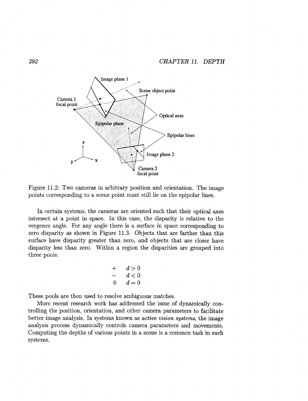

Figure 11.2: Two cameras in arbitrary position and orientation. The image points corresponding to a scene point must still lie on the epipolar lines.

In certain systems, the cameras are oriented such that their optical axes intersect at a point in space. In this case, the disparity is relative to the vergence angle. For any angle there is a surface in space corresponding to zero disparity as shown in Figure 11.3. Objects that are farther than this surface have disparity greater than zero, and objects that are closer have disparity less than zero. Within a region the disparities are grouped into three pools:

$$
\begin{array}{ccc}\n+ & d > 0 \\
- & d < 0 \\
0 & d = 0\n\end{array}
$$

These pools are then used to resolve ambiguous matches.

More recent research work has addressed the issue of dynamically controlling the position, orientation, and other camera parameters to facilitate better image analysis. In systems known as *active vision systems,* the image analysis process dynamically controls camera parameters and movements. Computing the depths of various points in a scene is a common task in such systems.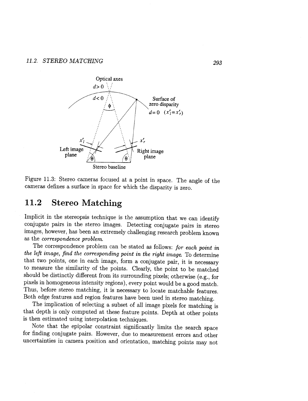

Figure 11.3: Stereo cameras focused at a point in space. The angle of the cameras defines a surface in space for which the disparity is zero.

## 11.2 **Stereo** Matching

Implicit in the stereopsis technique is the assumption that we can identify conjugate pairs in the stereo images. Detecting conjugate pairs in stereo images, however, has been an extremely challenging research problem known as the *correspondence problem.*

The correspondence problem can be stated as follows: *for each point in the left image, find the corresponding point in the right image.* To determine that two points, one in each image, form a conjugate pair, it is necessary to measure the similarity of the points. Clearly, the point to be matched should be distinctly different from its surrounding pixels; otherwise (e.g., for pixels in homogeneous intensity regions), every point would be a good match. Thus, before stereo matching, it is necessary to locate matchable features. Both edge features and region features have been used in stereo matching.

The implication of selecting a subset of all image pixels for matching is that depth is only computed at these feature points. Depth at other points is then estimated using interpolation techniques.

Note that the epipolar constraint significantly limits the search space for finding conjugate pairs. However, due to measurement errors and other uncertainties in camera position and orientation, matching points may not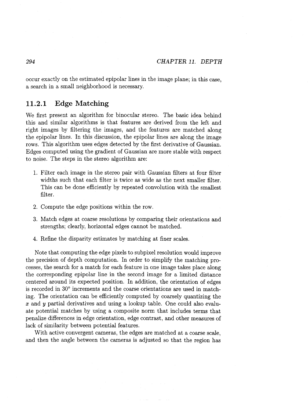occur exactly on the estimated epipolar lines in the image plane; in this case, a search in a small neighborhood is necessary.

#### **11.2.1 Edge Matching**

We first present an algorithm for binocular stereo. The basic idea behind this and similar algorithms is that features are derived from the left and right images by filtering the images, and the features are matched along the epipolar lines. **In** this discussion, the epipolar lines are along the image rows. This algorithm uses edges detected by the first derivative of Gaussian. Edges computed using the gradient of Gaussian are more stable with respect to noise. The steps in the stereo algorithm are:

- 1. Filter each image in the stereo pair with Gaussian filters at four filter widths such that each filter is twice as wide as the next smaller filter. This can be done efficiently by repeated convolution with the smallest filter.
- 2. Compute the edge positions within the row.
- 3. Match edges at coarse resolutions by comparing their orientations and strengths; clearly, horizontal edges cannot be matched.
- 4. Refine the disparity estimates by matching at finer scales.

Note that computing the edge pixels to subpixel resolution would improve the precision of depth computation. **In** order to simplify the matching processes, the search for a match for each feature in one image takes place along the corresponding epipolar line in the second image for a limited distance centered around its expected position. **In** addition, the orientation of edges is recorded in 30° increments and the coarse orientations are used in matching. The orientation can be efficiently computed by coarsely quantizing the *x* and *y* partial derivatives and using a lookup table. One could also evaluate potential matches by using a composite norm that includes terms that penalize differences in edge orientation, edge contrast, and other measures of lack of similarity between potential features.

With active convergent cameras, the edges are matched at a coarse scale, and then the angle between the cameras is adjusted so that the region has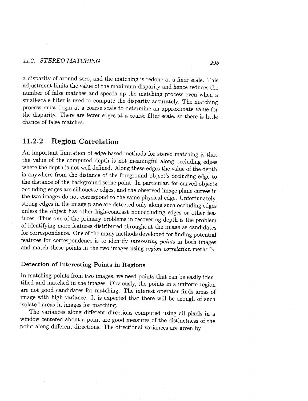#### *11.2. STEREO MATCHING* 295

a disparity of around zero, and the matching is redone at a finer scale. This adjustment limits the value of the maximum disparity and hence reduces the number of false matches and speeds up the matching process even when a small-scale filter is used to compute the disparity accurately. The matching process must begin at a coarse scale to determine an approximate value for the disparity. There are fewer edges at a coarse filter scale, so there is little chance of false matches.

### **11.2.2 Region Correlation**

An important limitation of edge-based methods for stereo matching is that the value of the computed depth is not meaningful along occluding edges where the depth is not well defined. Along these edges the value of the depth is anywhere from the distance of the foreground object's occluding edge to the distance of the background scene point. In particular, for curved objects occluding edges are silhouette edges, and the observed image plane curves in the two images do not correspond to the same physical edge. Unfortunately, strong edges in the image plane are detected only along such occluding edges unless the object has other high-contrast nonoccluding edges or other features. Thus one of the primary problems in recovering depth is the problem of identifying more features distributed throughout the image as candidates for correspondence. One of the many methods developed for finding potential features for correspondence is to identify *interesting points* in both images and match these points in the two images using *region correlation* methods.

#### Detection of Interesting Points **in** Regions

In matching points from two images, we need points that can be easily identified and matched in the images. Obviously, the points in a uniform region are not good candidates for matching. The interest operator finds areas of image with high variance. It is expected that there will be enough of such isolated areas in images for matching.

The variances along different directions computed using all pixels in a window centered about a point are good measures of the distinctness of the point along different directions. The directional variances are given by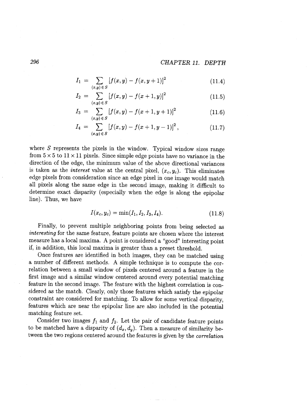#### 296 *CHAPTER* 11. DEPTH

$$
I_1 = \sum_{(x,y)\in S} [f(x,y) - f(x,y+1)]^2
$$
 (11.4)

$$
I_2 = \sum_{(x,y)\in S} [f(x,y) - f(x+1,y)]^2
$$
 (11.5)

$$
I_3 = \sum_{(x,y)\in S} \left[ f(x,y) - f(x+1,y+1) \right]^2 \tag{11.6}
$$

$$
I_4 = \sum_{(x,y)\in S} \left[ f(x,y) - f(x+1,y-1) \right]^2, \tag{11.7}
$$

where *S* represents the pixels in the window. Typical window sizes range from  $5 \times 5$  to  $11 \times 11$  pixels. Since simple edge points have no variance in the direction of the edge, the minimum value of the above directional variances is taken as the *interest* value at the central pixel,  $(x_c, y_c)$ . This eliminates edge pixels from consideration since an edge pixel in one image would match all pixels along the same edge in the second image, making it difficult to determine exact disparity (especially when the edge is along the epipolar line). Thus, we have

$$
I(x_c, y_c) = \min(I_1, I_2, I_3, I_4). \tag{11.8}
$$

Finally, to prevent multiple neighboring points from being selected as *interesting* for the same feature, feature points are chosen where the interest measure has a local maxima. A point is considered a "good" interesting point if, in addition, this local maxima is greater than a preset threshold.

Once features are identified in both images, they can be matched using a number of different methods. A simple technique is to compute the correlation between a small window of pixels centered around a feature in the first image and a similar window centered around every potential matching feature in the second image. The feature with the highest correlation is considered as the match. Clearly, only those features which satisfy the epipolar constraint are considered for matching. To allow for some vertical disparity, features which are near the epipolar line are also included in the potential matching feature set.

Consider two images  $f_1$  and  $f_2$ . Let the pair of candidate feature points to be matched have a disparity of  $(d_x, d_y)$ . Then a measure of similarity between the two regions centered around the features is given by the *correlation*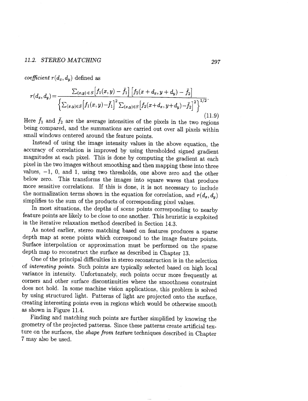#### *11.2. STEREO MATCHING* 297

*coefficient*  $r(d_x, d_y)$  defined as

$$
r(d_x, d_y) = \frac{\sum_{(x,y) \in S} \left[ f_1(x, y) - \bar{f}_1 \right] \left[ f_2(x + d_x, y + d_y) - \bar{f}_2 \right]}{\left\{ \sum_{(x,y) \in S} \left[ f_1(x, y) - \bar{f}_1 \right]^2 \sum_{(x,y) \in S} \left[ f_2(x + d_x, y + d_y) - \bar{f}_2 \right]^2 \right\}^{1/2}}.
$$
\n(11.9)

Here  $f_1$  and  $f_2$  are the average intensities of the pixels in the two regions being compared, and the summations are carried out over all pixels within small windows centered around the feature points.

Instead of using the image intensity values in the above equation, the accuracy of correlation is improved by using thresholded signed gradient magnitudes at each pixel. This is done by computing the gradient at each pixel in the two images without smoothing and then mapping these into three values,  $-1$ , 0, and 1, using two thresholds, one above zero and the other below zero. This transforms the images into square waves that produce more sensitive correlations. If this is done, it is not necessary to include the normalization terms shown in the equation for correlation, and  $r(d_x, d_y)$ simplifies to the sum of the products of corresponding pixel values.

In most situations, the depths of scene points corresponding to nearby feature points are likely to be close to one another. This heuristic is exploited in the iterative relaxation method described in Section 14.3.

As noted earlier, stereo matching based on features produces a sparse depth map at scene points which correspond to the image feature points. Surface interpolation or approximation must be performed on the sparse depth map to reconstruct the surface as described in Chapter 13.

One of the principal difficulties in stereo reconstruction is in the selection of *interesting points.* Such points are typically selected based on high local variance in intensity. Unfortunately, such points occur more frequently at corners and other surface discontinuities where the smoothness constraint does not hold. In some machine vision applications, this problem is solved by using structured light. Patterns of light are projected onto the surface, creating interesting points even in regions which would be otherwise smooth as shown in Figure 11.4.

Finding and matching such points are further simplified by knowing the geometry of the projected patterns. Since these patterns create artificial texture on the surfaces, the *shape from texture* techniques described in Chapter 7 may also be used.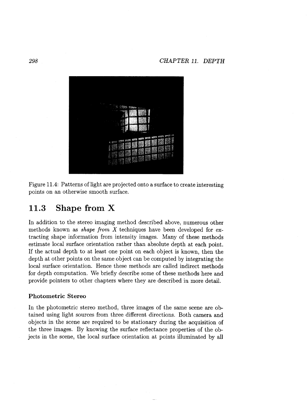



### **11.3 Shape from X**

In addition to the stereo imaging method described above, numerous other methods known as *shape from X* techniques have been developed for extracting shape information from intensity images. Many of these methods estimate local surface orientation rather than absolute depth at each point. If the actual depth to at least one point on each object is known, then the depth at other points on the same object can be computed by integrating the local surface orientation. Hence these methods are called indirect methods for depth computation. We briefly describe some of these methods here and provide pointers to other chapters where they are described in more detail.

#### Photometric Stereo

In the photometric stereo method, three images of the same scene are obtained using light sources from three different directions. Both camera and objects in the scene are required to be stationary during the acquisition of the three images. By knowing the surface reflectance properties of the objects in the scene, the local surface orientation at points illuminated by all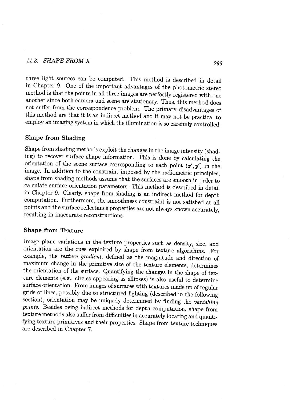### *11.3. SHAPE FROM* <sup>X</sup> <sup>299</sup>

three light sources can be computed. This method is described in detail in Chapter 9. One of the important advantages of the photometric stereo method is that the points in all three images are perfectly registered with one another since both camera and scene are stationary. Thus, this method does not suffer from the correspondence problem. The primary disadvantages of this method are that it is an indirect method and it may not be practical to employ an imaging system in which the illumination is so carefully controlled.

#### **Shape from Shading**

Shape from shading methods exploit the changes in the image intensity (shading) to recover surface shape information. This is done by calculating the orientation of the scene surface corresponding to each point  $(x', y')$  in the image. In addition to the constraint imposed by the radiometric principles, shape from shading methods assume that the surfaces are smooth in order to calculate surface orientation parameters. This method is described in detail in Chapter 9. Clearly, shape from shading is an indirect method for depth computation. Furthermore, the smoothness constraint is not satisfied at all points and the surface reflectance properties are not always known accurately, resulting in inaccurate reconstructions.

#### **Shape from Texture**

Image plane variations in the texture properties such as density, size, and orientation are the cues exploited by shape from texture algorithms. For example, the *texture gradient,* defined as the magnitude and direction of maximum change in the primitive size of the texture elements, determines the orientation of the surface. Quantifying the changes in the shape of texture elements (e.g., circles appearing as ellipses) is also useful to determine surface orientation. From images of surfaces with textures made up of regular grids of lines, possibly due to structured lighting (described in the following section), orientation may be uniquely determined by finding the *vanishing points.* Besides being indirect methods for depth computation, shape from texture methods also suffer from difficulties in accurately locating and quantifying texture primitives and their properties. Shape from texture techniques are described in Chapter 7.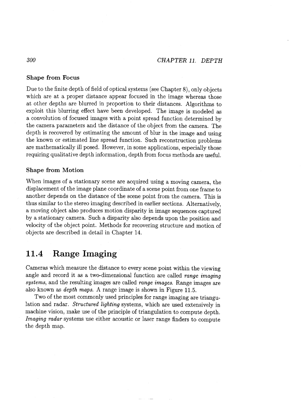#### **Shape from Focus**

Due to the finite depth of field of optical systems (see Chapter  $8$ ), only objects which are at a proper distance appear focused in the image whereas those at other depths are blurred in proportion to their distances. Algorithms to exploit this blurring effect have been developed. The image is modeled as a convolution of focused images with a point spread function determined by the camera parameters and the distance of the object from the camera. The depth is recovered by estimating the amount of blur in the image and using the known or estimated line spread function. Such reconstruction problems are mathematically ill posed. However, in some applications, especially those requiring qualitative depth information, depth from focus methods are useful.

#### **Shape from Motion**

When images of a stationary scene are acquired using a moving camera, the displacement of the image plane coordinate of a scene point from one frame to another depends on the distance of the scene point from the camera. This is thus similar to the stereo imaging described in earlier sections. Alternatively, a moving object also produces motion disparity in image sequences captured by a stationary camera. Such a disparity also depends upon the position and velocity of the object point. Methods for recovering structure and motion of objects are described in detail in Chapter 14.

### **11.4 Range Imaging**

Cameras which measure the distance to every scene point within the viewing angle and record it as a two-dimensional function are called *range imaging systems,* and the resulting images are called *range images.* Range images are also known as *depth maps.* A range image is shown in Figure 11.5.

Two of the most commonly used principles for range imaging are triangulation and radar. *Structured lighting* systems, which are used extensively in machine vision, make use of the principle of triangulation to compute depth. *Imaging radar* systems use either acoustic or laser range finders to compute the depth map.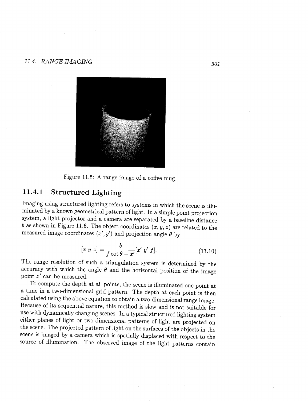### *11.4. RANGE IMAGING <sup>301</sup>*



Figure 11.5: A range image of a coffee mug.

### **11.4.1 Structured Lighting**

Imaging using structured lighting refers to systems in which the scene is illuminated by a known geometrical pattern of light. In a simple point projection system, a light projector and a camera are separated by a baseline distance *b* as shown in Figure 11.6. The object coordinates  $(x, y, z)$  are related to the measured image coordinates  $(x', y')$  and projection angle  $\theta$  by

$$
[x \ y \ z] = \frac{b}{f \cot \theta - x'} [x' \ y' \ f]. \tag{11.10}
$$

The range resolution of such a triangulation system is determined by the accuracy with which the angle  $\theta$  and the horizontal position of the image point *x'* can be measured.

To compute the depth at all points, the scene is illuminated one point at a time in a two-dimensional grid pattern. The depth at each point is then calculated using the above equation to obtain a two-dimensional range image. Because of its sequential nature, this method is slow and is not suitable for use with dynamically changing scenes. In a typical structured lighting system either planes of light or two-dimensional patterns of light are projected on the scene. The projected pattern of light on the surfaces of the objects in the scene is imaged by a camera which is spatially displaced with respect to the source of illumination. The observed image of the light patterns contain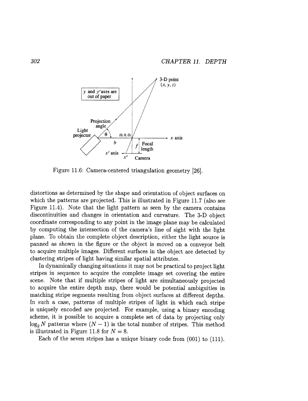

Figure 11.6: Camera-centered triangulation geometry [26].

distortions as determined by the shape and orientation of object surfaces on which the patterns are projected. This is illustrated in Figure 11.7 (also see Figure 11.4). Note that the light pattern as seen by the camera contains discontinuities and changes in orientation and curvature. The 3-D object coordinate corresponding to any point in the image plane may be calculated by computing the intersection of the camera's line of sight with the light plane. To obtain the complete object description, either the light source is panned as shown in the figure or the object is moved on a conveyor belt to acquire multiple images. Different surfaces in the object are detected by clustering stripes of light having similar spatial attributes.

In dynamically changing situations it may not be practical to project light stripes in sequence to acquire the complete image set covering the entire scene. Note that if multiple stripes of light are simultaneously projected to acquire the entire depth map, there would be potential ambiguities in matching stripe segments resulting from object surfaces at different depths. In such a case, patterns of multiple stripes of light in which each stripe is uniquely encoded are projected. For example, using a binary encoding scheme, it is possible to acquire a complete set of data by projecting only  $\log_2 N$  patterns where  $(N-1)$  is the total number of stripes. This method is illustrated in Figure 11.8 for  $N = 8$ .

Each of the seven stripes has a unique binary code from (001) to (111).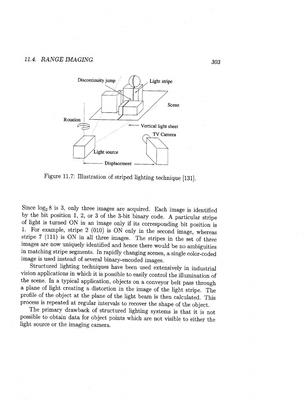### 11.4.RANGE *IMAGING <sup>303</sup>*



Figure 11.7: Illustration of striped lighting technique [131].

Since  $log_2 8$  is 3, only three images are acquired. Each image is identified by the bit position 1, 2, or 3 of the 3-bit binary code. A particular stripe of light is turned ON in an image only if its corresponding bit position is 1. For example, stripe 2 (010) is ON only in the second image, whereas stripe 7 (111) is ON in all three images. The stripes in the set of three images are now uniquely identified and hence there would be no ambiguities in matching stripe segments. In rapidly changing scenes, a single color-coded image is used instead of several binary-encoded images.

Structured lighting techniques have been used extensively in industrial vision applications in which it is possible to easily control the illumination of the scene. In a typical application, objects on a conveyor belt pass through a plane of light creating a distortion in the image of the light stripe. The profile of the object at the plane of the light beam is then calculated. This process is repeated at regular intervals to recover the shape of the object.

The primary drawback of structured lighting systems is that it is not possible to obtain data for object points which are not visible to either the light source or the imaging camera.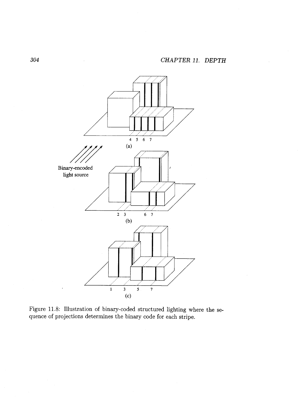

Figure 11.8: Illustration of binary-coded structured lighting where the sequence of projections determines the binary code for each stripe.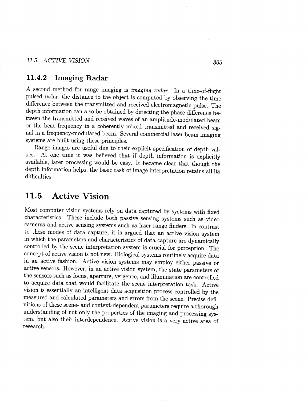### *11.5. ACTIVE VISION 305*

#### **11.4.2 Imaging Radar**

A second method for range imaging is *imaging radar.* In a time-of-flight pulsed radar, the distance to the object is computed by observing the time difference between the transmitted and received electromagnetic pulse. The depth information can also be obtained by detecting the phase difference between the transmitted and received waves of an amplitude-modulated beam or the beat frequency in a coherently mixed transmitted and received signal in a frequency-modulated beam. Several commercial laser beam imaging systems are built using these principles.

Range images are useful due to their explicit specification of depth values. At one time it was believed that if depth information is explicitly available, later processing would be easy. It became clear that though the depth information helps, the basic task of image interpretation retains all its difficulties.

### **11.5 Active Vision**

Most computer vision systems rely on data captured by systems with fixed characteristics. These include both passive sensing systems such as video cameras and active sensing systems such as laser range finders. In contrast to these modes of data capture, it is argued that an active vision system in which the parameters and characteristics of data capture are dynamically controlled by the scene interpretation system is crucial for perception. The concept of active vision is not new. Biological systems routinely acquire data in an active fashion. Active vision systems may employ either passive or active sensors. However, in an active vision system, the state parameters of the sensors such as focus, aperture, vergence, and illumination are controlled to acquire data that would facilitate the scene interpretation task. Active vision is essentially an intelligent data acquisition process controlled by the measured and calculated parameters and errors from the scene. Precise definitions of these scene- and context-dependent parameters require a thorough understanding of not only the properties of the imaging and processing system, but also their interdependence. Active vision is a very active area of research.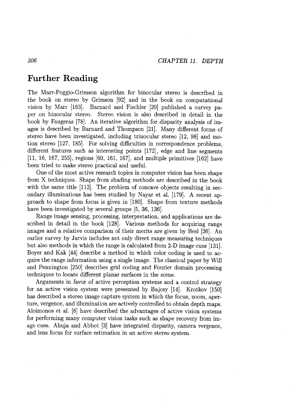### **Further Reading**

The Marr-Poggio-Grimson algorithm for binocular stereo is described in the book on stereo by Grimson [92] and in the book on computational vision by Marr [163]. Barnard and Fischler [20] published a survey paper on binocular stereo. Stereo vision is also described in detail in the book by Faugeras [78]. An iterative algorithm for disparity analysis of images is described by Barnard and Thompson [21]. Many different forms of stereo have been investigated, including trinocular stereo [12, 98] and motion stereo [127, 185]. For solving difficulties in correspondence problems, different features such as interesting points [172], edge and line segments [11, 16, 167, 255], regions [60, 161, 167], and multiple primitives [162] have been tried to make stereo practical and useful.

One of the most active research topics in computer vision has been shape from X techniques. Shape from shading methods are described in the book with the same title [112]. The problem of concave objects resulting in secondary illuminations has been studied by Nayar et al. [179]. A recent approach to shape from focus is given in [180]. Shape from texture methods have been investigated by several groups  $[5, 36, 136]$ .

Range image sensing, processing, interpretation, and applications are described in detail in the book [128]. Various methods for acquiring range images and a relative comparison of their merits are given by Besl [26]. An earlier survey by Jarvis includes not only direct range measuring techniques but also methods in which the range is calculated from 2-D image cues [131]. Boyer and Kak [44] describe a method in which color coding is used to acquire the range information using a single image. The classical paper by Will and Pennington [250] describes grid coding and Fourier domain processing techniques to locate different planar surfaces in the scene.

Arguments in favor of active perception systems and a control strategy for an active vision system were presented by Bajcsy [14]. Krotkov [150] has described a stereo image capture system in which the focus, zoom, aperture, vergence, and illumination are actively controlled to obtain depth maps. Aloimonos et al. [8] have described the advantages of active vision systems for performing many computer vision tasks such as shape recovery from image cues. Ahuja and Abbot [3] have integrated disparity, camera vergence, and lens focus for surface estimation in an active stereo system.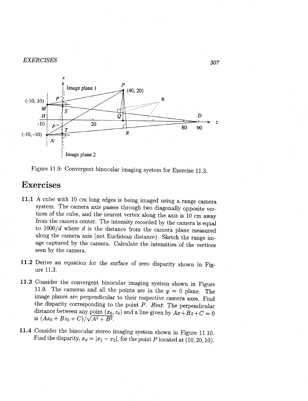



### **Exercises**

- **11.1** A cube with 10 cm long edges is being imaged using a range camera system. The camera axis passes through two diagonally opposite vertices of the cube, and the nearest vertex along the axis is 10 cm away from the camera center. The intensity recorded by the camera is equal to 1000/d where *d* is the distance from the camera plane measured along the camera axis (not Euclidean distance). Sketch the range image captured by the camera. Calculate the intensities of the vertices seen by the camera.
- **11.2** Derive an equation for the surface of zero disparity shown in Figure 11.3.
- **11.3** Consider the convergent binocular imaging system shown in Figure 11.9. The cameras and all the points are in the  $y = 0$  plane. The image planes are perpendicular to their respective camera axes. Find the disparity corresponding to the point *P. Hint:* The perpendicular distance between any point  $(x_0, z_0)$  and a line given by  $Ax + Bz + C = 0$ is  $(Ax_0 + Bz_0 + C)/\sqrt{A^2 + B^2}$ .
- **11.4** Consider the binocular stereo imaging system shown in Figure 11.10. Find the disparity,  $x_d = |x_1 - x_2|$ , for the point *P* located at (10, 20, 10).